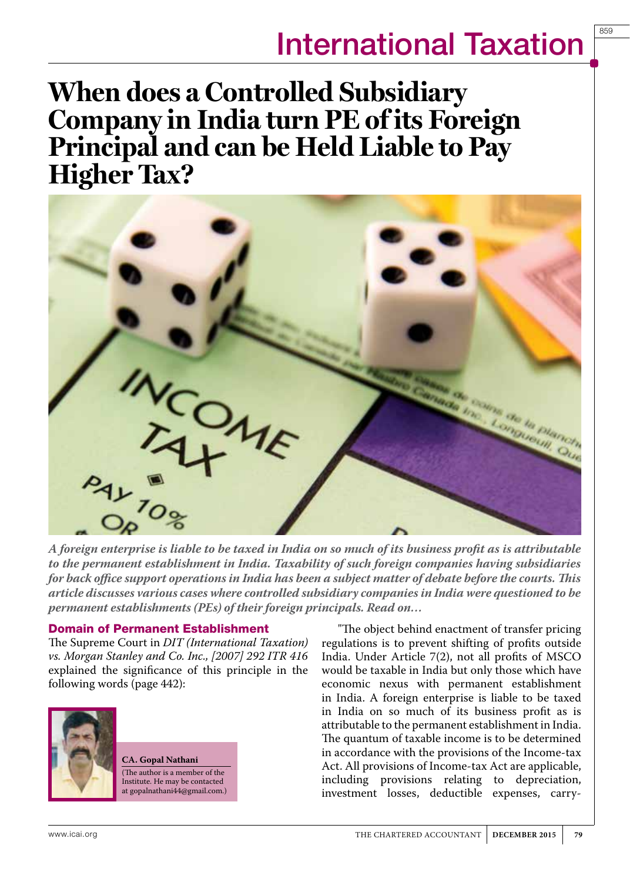859

**When does a Controlled Subsidiary Company in India turn PE of its Foreign Principal and can be Held Liable to Pay Higher Tax?**



*A foreign enterprise is liable to be taxed in India on so much of its business profit as is attributable to the permanent establishment in India. Taxability of such foreign companies having subsidiaries for back office support operations in India has been a subject matter of debate before the courts. This article discusses various cases where controlled subsidiary companies in India were questioned to be permanent establishments (PEs) of their foreign principals. Read on…*

#### Domain of Permanent Establishment

The Supreme Court in *DIT (International Taxation) vs. Morgan Stanley and Co. Inc., [2007] 292 ITR 416*  explained the significance of this principle in the following words (page 442):



**CA. Gopal Nathani** (The author is a member of the Institute. He may be contacted at gopalnathani44@gmail.com.)

"The object behind enactment of transfer pricing regulations is to prevent shifting of profits outside India. Under Article 7(2), not all profits of MSCO would be taxable in India but only those which have economic nexus with permanent establishment in India. A foreign enterprise is liable to be taxed in India on so much of its business profit as is attributable to the permanent establishment in India. The quantum of taxable income is to be determined in accordance with the provisions of the Income-tax Act. All provisions of Income-tax Act are applicable, including provisions relating to depreciation, investment losses, deductible expenses, carry-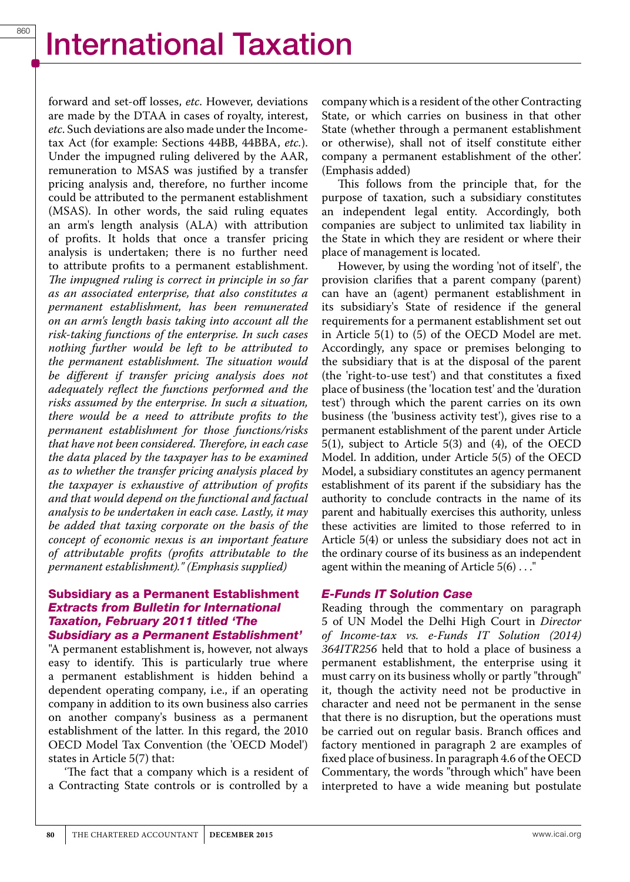forward and set-off losses, *etc*. However, deviations are made by the DTAA in cases of royalty, interest, *etc*. Such deviations are also made under the Incometax Act (for example: Sections 44BB, 44BBA, *etc.*). Under the impugned ruling delivered by the AAR, remuneration to MSAS was justified by a transfer pricing analysis and, therefore, no further income could be attributed to the permanent establishment (MSAS). In other words, the said ruling equates an arm's length analysis (ALA) with attribution of profits. It holds that once a transfer pricing analysis is undertaken; there is no further need to attribute profits to a permanent establishment. *The impugned ruling is correct in principle in so far as an associated enterprise, that also constitutes a permanent establishment, has been remunerated on an arm's length basis taking into account all the risk-taking functions of the enterprise. In such cases nothing further would be left to be attributed to the permanent establishment. The situation would be different if transfer pricing analysis does not adequately reflect the functions performed and the risks assumed by the enterprise. In such a situation, there would be a need to attribute profits to the permanent establishment for those functions/risks that have not been considered. Therefore, in each case the data placed by the taxpayer has to be examined as to whether the transfer pricing analysis placed by the taxpayer is exhaustive of attribution of profits and that would depend on the functional and factual analysis to be undertaken in each case. Lastly, it may be added that taxing corporate on the basis of the concept of economic nexus is an important feature of attributable profits (profits attributable to the permanent establishment)." (Emphasis supplied)* 

#### Subsidiary as a Permanent Establishment Extracts from Bulletin for International Taxation, February 2011 titled 'The Subsidiary as a Permanent Establishment'

"A permanent establishment is, however, not always easy to identify. This is particularly true where a permanent establishment is hidden behind a dependent operating company, i.e., if an operating company in addition to its own business also carries on another company's business as a permanent establishment of the latter. In this regard, the 2010 OECD Model Tax Convention (the 'OECD Model') states in Article 5(7) that:

'The fact that a company which is a resident of a Contracting State controls or is controlled by a company which is a resident of the other Contracting State, or which carries on business in that other State (whether through a permanent establishment or otherwise), shall not of itself constitute either company a permanent establishment of the other'. (Emphasis added)

This follows from the principle that, for the purpose of taxation, such a subsidiary constitutes an independent legal entity. Accordingly, both companies are subject to unlimited tax liability in the State in which they are resident or where their place of management is located.

However, by using the wording 'not of itself', the provision clarifies that a parent company (parent) can have an (agent) permanent establishment in its subsidiary's State of residence if the general requirements for a permanent establishment set out in Article 5(1) to (5) of the OECD Model are met. Accordingly, any space or premises belonging to the subsidiary that is at the disposal of the parent (the 'right-to-use test') and that constitutes a fixed place of business (the 'location test' and the 'duration test') through which the parent carries on its own business (the 'business activity test'), gives rise to a permanent establishment of the parent under Article 5(1), subject to Article 5(3) and (4), of the OECD Model. In addition, under Article 5(5) of the OECD Model, a subsidiary constitutes an agency permanent establishment of its parent if the subsidiary has the authority to conclude contracts in the name of its parent and habitually exercises this authority, unless these activities are limited to those referred to in Article 5(4) or unless the subsidiary does not act in the ordinary course of its business as an independent agent within the meaning of Article  $5(6)$ ..."

#### E-Funds IT Solution Case

Reading through the commentary on paragraph 5 of UN Model the Delhi High Court in *Director of Income-tax vs. e-Funds IT Solution (2014) 364ITR256* held that to hold a place of business a permanent establishment, the enterprise using it must carry on its business wholly or partly "through" it, though the activity need not be productive in character and need not be permanent in the sense that there is no disruption, but the operations must be carried out on regular basis. Branch offices and factory mentioned in paragraph 2 are examples of fixed place of business. In paragraph 4.6 of the OECD Commentary, the words "through which" have been interpreted to have a wide meaning but postulate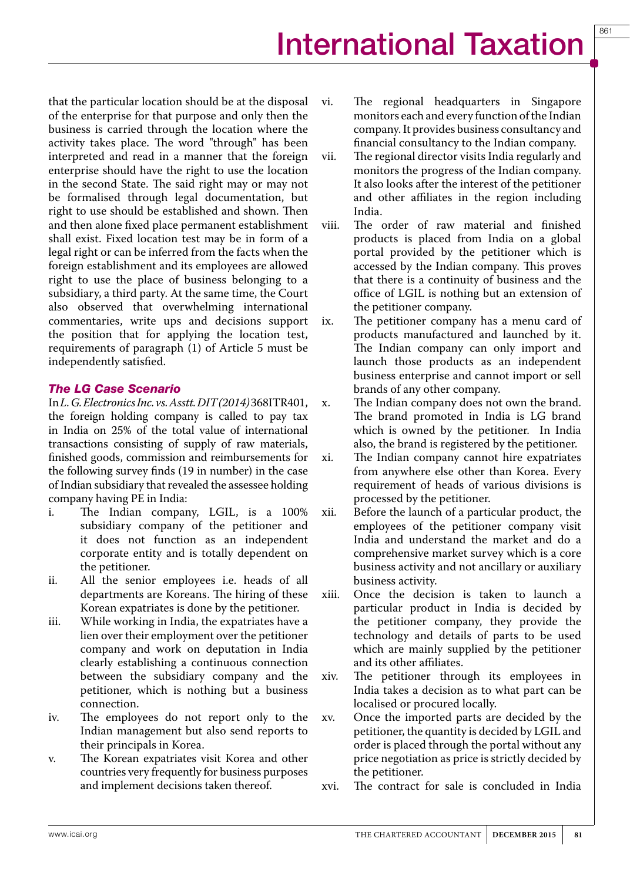that the particular location should be at the disposal of the enterprise for that purpose and only then the business is carried through the location where the activity takes place. The word "through" has been interpreted and read in a manner that the foreign enterprise should have the right to use the location in the second State. The said right may or may not be formalised through legal documentation, but right to use should be established and shown. Then and then alone fixed place permanent establishment shall exist. Fixed location test may be in form of a legal right or can be inferred from the facts when the foreign establishment and its employees are allowed right to use the place of business belonging to a subsidiary, a third party. At the same time, the Court also observed that overwhelming international commentaries, write ups and decisions support the position that for applying the location test, requirements of paragraph (1) of Article 5 must be independently satisfied.

### The LG Case Scenario

In *L. G. Electronics Inc. vs. Asstt. DIT (2014)* 368ITR401, the foreign holding company is called to pay tax in India on 25% of the total value of international transactions consisting of supply of raw materials, finished goods, commission and reimbursements for the following survey finds (19 in number) in the case of Indian subsidiary that revealed the assessee holding company having PE in India:

- i. The Indian company, LGIL, is a 100% subsidiary company of the petitioner and it does not function as an independent corporate entity and is totally dependent on the petitioner.
- ii. All the senior employees i.e. heads of all departments are Koreans. The hiring of these Korean expatriates is done by the petitioner.
- iii. While working in India, the expatriates have a lien over their employment over the petitioner company and work on deputation in India clearly establishing a continuous connection between the subsidiary company and the petitioner, which is nothing but a business connection.
- iv. The employees do not report only to the Indian management but also send reports to their principals in Korea.
- v. The Korean expatriates visit Korea and other countries very frequently for business purposes and implement decisions taken thereof.
- vi. The regional headquarters in Singapore monitors each and every function of the Indian company. It provides business consultancy and financial consultancy to the Indian company.
- vii. The regional director visits India regularly and monitors the progress of the Indian company. It also looks after the interest of the petitioner and other affiliates in the region including India.
- viii. The order of raw material and finished products is placed from India on a global portal provided by the petitioner which is accessed by the Indian company. This proves that there is a continuity of business and the office of LGIL is nothing but an extension of the petitioner company.
- ix. The petitioner company has a menu card of products manufactured and launched by it. The Indian company can only import and launch those products as an independent business enterprise and cannot import or sell brands of any other company.
- x. The Indian company does not own the brand. The brand promoted in India is LG brand which is owned by the petitioner. In India also, the brand is registered by the petitioner.
- xi. The Indian company cannot hire expatriates from anywhere else other than Korea. Every requirement of heads of various divisions is processed by the petitioner.
- xii. Before the launch of a particular product, the employees of the petitioner company visit India and understand the market and do a comprehensive market survey which is a core business activity and not ancillary or auxiliary business activity.
- xiii. Once the decision is taken to launch a particular product in India is decided by the petitioner company, they provide the technology and details of parts to be used which are mainly supplied by the petitioner and its other affiliates.
- xiv. The petitioner through its employees in India takes a decision as to what part can be localised or procured locally.
- xv. Once the imported parts are decided by the petitioner, the quantity is decided by LGIL and order is placed through the portal without any price negotiation as price is strictly decided by the petitioner.
- xvi. The contract for sale is concluded in India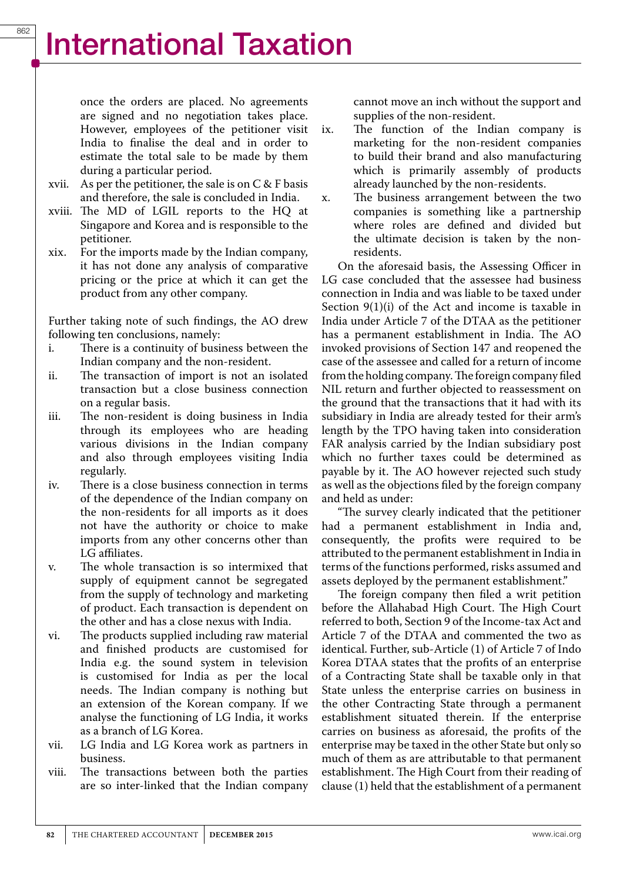once the orders are placed. No agreements are signed and no negotiation takes place. However, employees of the petitioner visit India to finalise the deal and in order to estimate the total sale to be made by them during a particular period.

- xvii. As per the petitioner, the sale is on  $C \& F$  basis and therefore, the sale is concluded in India.
- xviii. The MD of LGIL reports to the HQ at Singapore and Korea and is responsible to the petitioner.
- xix. For the imports made by the Indian company, it has not done any analysis of comparative pricing or the price at which it can get the product from any other company.

Further taking note of such findings, the AO drew following ten conclusions, namely:

- i. There is a continuity of business between the Indian company and the non-resident.
- ii. The transaction of import is not an isolated transaction but a close business connection on a regular basis.
- iii. The non-resident is doing business in India through its employees who are heading various divisions in the Indian company and also through employees visiting India regularly.
- iv. There is a close business connection in terms of the dependence of the Indian company on the non-residents for all imports as it does not have the authority or choice to make imports from any other concerns other than LG affiliates.
- v. The whole transaction is so intermixed that supply of equipment cannot be segregated from the supply of technology and marketing of product. Each transaction is dependent on the other and has a close nexus with India.
- vi. The products supplied including raw material and finished products are customised for India e.g. the sound system in television is customised for India as per the local needs. The Indian company is nothing but an extension of the Korean company. If we analyse the functioning of LG India, it works as a branch of LG Korea.
- vii. LG India and LG Korea work as partners in business.
- viii. The transactions between both the parties are so inter-linked that the Indian company

cannot move an inch without the support and supplies of the non-resident.

- ix. The function of the Indian company is marketing for the non-resident companies to build their brand and also manufacturing which is primarily assembly of products already launched by the non-residents.
- x. The business arrangement between the two companies is something like a partnership where roles are defined and divided but the ultimate decision is taken by the nonresidents.

On the aforesaid basis, the Assessing Officer in LG case concluded that the assessee had business connection in India and was liable to be taxed under Section 9(1)(i) of the Act and income is taxable in India under Article 7 of the DTAA as the petitioner has a permanent establishment in India. The AO invoked provisions of Section 147 and reopened the case of the assessee and called for a return of income from the holding company. The foreign company filed NIL return and further objected to reassessment on the ground that the transactions that it had with its subsidiary in India are already tested for their arm's length by the TPO having taken into consideration FAR analysis carried by the Indian subsidiary post which no further taxes could be determined as payable by it. The AO however rejected such study as well as the objections filed by the foreign company and held as under:

"The survey clearly indicated that the petitioner had a permanent establishment in India and, consequently, the profits were required to be attributed to the permanent establishment in India in terms of the functions performed, risks assumed and assets deployed by the permanent establishment."

The foreign company then filed a writ petition before the Allahabad High Court. The High Court referred to both, Section 9 of the Income-tax Act and Article 7 of the DTAA and commented the two as identical. Further, sub-Article (1) of Article 7 of Indo Korea DTAA states that the profits of an enterprise of a Contracting State shall be taxable only in that State unless the enterprise carries on business in the other Contracting State through a permanent establishment situated therein. If the enterprise carries on business as aforesaid, the profits of the enterprise may be taxed in the other State but only so much of them as are attributable to that permanent establishment. The High Court from their reading of clause (1) held that the establishment of a permanent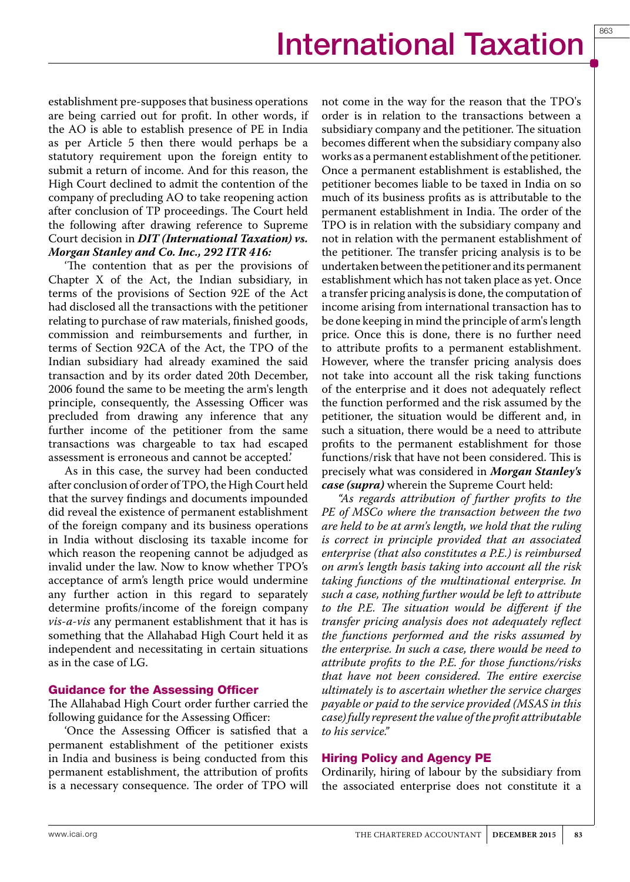863

establishment pre-supposes that business operations are being carried out for profit. In other words, if the AO is able to establish presence of PE in India as per Article 5 then there would perhaps be a statutory requirement upon the foreign entity to submit a return of income. And for this reason, the High Court declined to admit the contention of the company of precluding AO to take reopening action after conclusion of TP proceedings. The Court held the following after drawing reference to Supreme Court decision in *DIT (International Taxation) vs. Morgan Stanley and Co. Inc., 292 ITR 416:*

'The contention that as per the provisions of Chapter X of the Act, the Indian subsidiary, in terms of the provisions of Section 92E of the Act had disclosed all the transactions with the petitioner relating to purchase of raw materials, finished goods, commission and reimbursements and further, in terms of Section 92CA of the Act, the TPO of the Indian subsidiary had already examined the said transaction and by its order dated 20th December, 2006 found the same to be meeting the arm's length principle, consequently, the Assessing Officer was precluded from drawing any inference that any further income of the petitioner from the same transactions was chargeable to tax had escaped assessment is erroneous and cannot be accepted.'

As in this case, the survey had been conducted after conclusion of order of TPO, the High Court held that the survey findings and documents impounded did reveal the existence of permanent establishment of the foreign company and its business operations in India without disclosing its taxable income for which reason the reopening cannot be adjudged as invalid under the law. Now to know whether TPO's acceptance of arm's length price would undermine any further action in this regard to separately determine profits/income of the foreign company *vis-a-vis* any permanent establishment that it has is something that the Allahabad High Court held it as independent and necessitating in certain situations as in the case of LG.

#### Guidance for the Assessing Officer

The Allahabad High Court order further carried the following guidance for the Assessing Officer:

'Once the Assessing Officer is satisfied that a permanent establishment of the petitioner exists in India and business is being conducted from this permanent establishment, the attribution of profits is a necessary consequence. The order of TPO will

not come in the way for the reason that the TPO's order is in relation to the transactions between a subsidiary company and the petitioner. The situation becomes different when the subsidiary company also works as a permanent establishment of the petitioner. Once a permanent establishment is established, the petitioner becomes liable to be taxed in India on so much of its business profits as is attributable to the permanent establishment in India. The order of the TPO is in relation with the subsidiary company and not in relation with the permanent establishment of the petitioner. The transfer pricing analysis is to be undertaken between the petitioner and its permanent establishment which has not taken place as yet. Once a transfer pricing analysis is done, the computation of income arising from international transaction has to be done keeping in mind the principle of arm's length price. Once this is done, there is no further need to attribute profits to a permanent establishment. However, where the transfer pricing analysis does not take into account all the risk taking functions of the enterprise and it does not adequately reflect the function performed and the risk assumed by the petitioner, the situation would be different and, in such a situation, there would be a need to attribute profits to the permanent establishment for those functions/risk that have not been considered. This is precisely what was considered in *Morgan Stanley's case (supra)* wherein the Supreme Court held:

*"As regards attribution of further profits to the PE of MSCo where the transaction between the two are held to be at arm's length, we hold that the ruling is correct in principle provided that an associated enterprise (that also constitutes a P.E.) is reimbursed on arm's length basis taking into account all the risk taking functions of the multinational enterprise. In such a case, nothing further would be left to attribute to the P.E. The situation would be different if the transfer pricing analysis does not adequately reflect the functions performed and the risks assumed by the enterprise. In such a case, there would be need to attribute profits to the P.E. for those functions/risks that have not been considered. The entire exercise ultimately is to ascertain whether the service charges payable or paid to the service provided (MSAS in this case) fully represent the value of the profit attributable to his service."*

#### Hiring Policy and Agency PE

Ordinarily, hiring of labour by the subsidiary from the associated enterprise does not constitute it a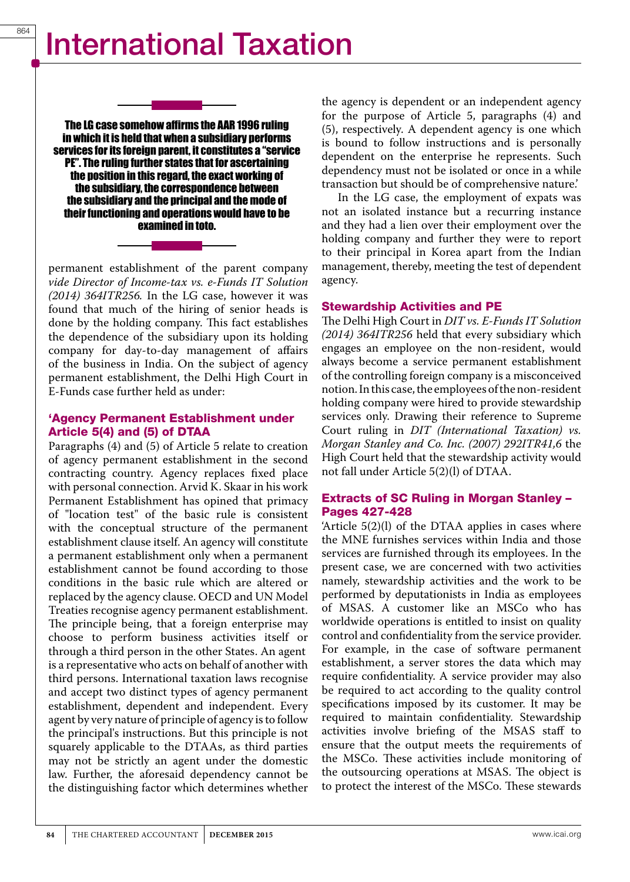The LG case somehow affirms the AAR 1996 ruling in which it is held that when a subsidiary performs services for its foreign parent, it constitutes a "service PE". The ruling further states that for ascertaining the position in this regard, the exact working of the subsidiary, the correspondence between the subsidiary and the principal and the mode of their functioning and operations would have to be examined in toto.

permanent establishment of the parent company *vide Director of Income-tax vs. e-Funds IT Solution (2014) 364ITR256.* In the LG case, however it was found that much of the hiring of senior heads is done by the holding company. This fact establishes the dependence of the subsidiary upon its holding company for day-to-day management of affairs of the business in India. On the subject of agency permanent establishment, the Delhi High Court in E-Funds case further held as under:

#### 'Agency Permanent Establishment under Article 5(4) and (5) of DTAA

Paragraphs (4) and (5) of Article 5 relate to creation of agency permanent establishment in the second contracting country. Agency replaces fixed place with personal connection. Arvid K. Skaar in his work Permanent Establishment has opined that primacy of "location test" of the basic rule is consistent with the conceptual structure of the permanent establishment clause itself. An agency will constitute a permanent establishment only when a permanent establishment cannot be found according to those conditions in the basic rule which are altered or replaced by the agency clause. OECD and UN Model Treaties recognise agency permanent establishment. The principle being, that a foreign enterprise may choose to perform business activities itself or through a third person in the other States. An agent is a representative who acts on behalf of another with third persons. International taxation laws recognise and accept two distinct types of agency permanent establishment, dependent and independent. Every agent by very nature of principle of agency is to follow the principal's instructions. But this principle is not squarely applicable to the DTAAs, as third parties may not be strictly an agent under the domestic law. Further, the aforesaid dependency cannot be the distinguishing factor which determines whether

the agency is dependent or an independent agency for the purpose of Article 5, paragraphs (4) and (5), respectively. A dependent agency is one which is bound to follow instructions and is personally dependent on the enterprise he represents. Such dependency must not be isolated or once in a while transaction but should be of comprehensive nature.'

In the LG case, the employment of expats was not an isolated instance but a recurring instance and they had a lien over their employment over the holding company and further they were to report to their principal in Korea apart from the Indian management, thereby, meeting the test of dependent agency.

#### Stewardship Activities and PE

The Delhi High Court in *DIT vs. E-Funds IT Solution (2014) 364ITR256* held that every subsidiary which engages an employee on the non-resident, would always become a service permanent establishment of the controlling foreign company is a misconceived notion. In this case, the employees of the non-resident holding company were hired to provide stewardship services only. Drawing their reference to Supreme Court ruling in *DIT (International Taxation) vs. Morgan Stanley and Co. Inc. (2007) 292ITR41,6* the High Court held that the stewardship activity would not fall under Article 5(2)(l) of DTAA.

#### Extracts of SC Ruling in Morgan Stanley – Pages 427-428

'Article 5(2)(l) of the DTAA applies in cases where the MNE furnishes services within India and those services are furnished through its employees. In the present case, we are concerned with two activities namely, stewardship activities and the work to be performed by deputationists in India as employees of MSAS. A customer like an MSCo who has worldwide operations is entitled to insist on quality control and confidentiality from the service provider. For example, in the case of software permanent establishment, a server stores the data which may require confidentiality. A service provider may also be required to act according to the quality control specifications imposed by its customer. It may be required to maintain confidentiality. Stewardship activities involve briefing of the MSAS staff to ensure that the output meets the requirements of the MSCo. These activities include monitoring of the outsourcing operations at MSAS. The object is to protect the interest of the MSCo. These stewards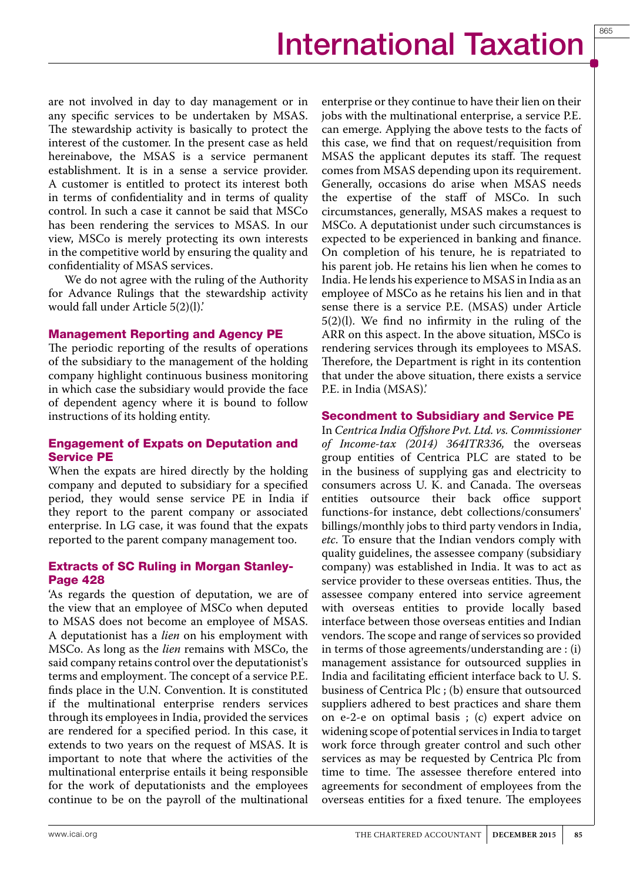865

are not involved in day to day management or in any specific services to be undertaken by MSAS. The stewardship activity is basically to protect the interest of the customer. In the present case as held hereinabove, the MSAS is a service permanent establishment. It is in a sense a service provider. A customer is entitled to protect its interest both in terms of confidentiality and in terms of quality control. In such a case it cannot be said that MSCo has been rendering the services to MSAS. In our view, MSCo is merely protecting its own interests in the competitive world by ensuring the quality and confidentiality of MSAS services.

We do not agree with the ruling of the Authority for Advance Rulings that the stewardship activity would fall under Article 5(2)(l).'

#### Management Reporting and Agency PE

The periodic reporting of the results of operations of the subsidiary to the management of the holding company highlight continuous business monitoring in which case the subsidiary would provide the face of dependent agency where it is bound to follow instructions of its holding entity.

#### Engagement of Expats on Deputation and Service PE

When the expats are hired directly by the holding company and deputed to subsidiary for a specified period, they would sense service PE in India if they report to the parent company or associated enterprise. In LG case, it was found that the expats reported to the parent company management too.

#### Extracts of SC Ruling in Morgan Stanley-Page 428

'As regards the question of deputation, we are of the view that an employee of MSCo when deputed to MSAS does not become an employee of MSAS. A deputationist has a *lien* on his employment with MSCo. As long as the *lien* remains with MSCo, the said company retains control over the deputationist's terms and employment. The concept of a service P.E. finds place in the U.N. Convention. It is constituted if the multinational enterprise renders services through its employees in India, provided the services are rendered for a specified period. In this case, it extends to two years on the request of MSAS. It is important to note that where the activities of the multinational enterprise entails it being responsible for the work of deputationists and the employees continue to be on the payroll of the multinational

enterprise or they continue to have their lien on their jobs with the multinational enterprise, a service P.E. can emerge. Applying the above tests to the facts of this case, we find that on request/requisition from MSAS the applicant deputes its staff. The request comes from MSAS depending upon its requirement. Generally, occasions do arise when MSAS needs the expertise of the staff of MSCo. In such circumstances, generally, MSAS makes a request to MSCo. A deputationist under such circumstances is expected to be experienced in banking and finance. On completion of his tenure, he is repatriated to his parent job. He retains his lien when he comes to India. He lends his experience to MSAS in India as an employee of MSCo as he retains his lien and in that sense there is a service P.E. (MSAS) under Article 5(2)(l). We find no infirmity in the ruling of the ARR on this aspect. In the above situation, MSCo is rendering services through its employees to MSAS. Therefore, the Department is right in its contention that under the above situation, there exists a service P.E. in India (MSAS).'

#### Secondment to Subsidiary and Service PE

In *Centrica India Offshore Pvt. Ltd. vs. Commissioner of Income-tax (2014) 364ITR336,* the overseas group entities of Centrica PLC are stated to be in the business of supplying gas and electricity to consumers across U. K. and Canada. The overseas entities outsource their back office support functions-for instance, debt collections/consumers' billings/monthly jobs to third party vendors in India, *etc*. To ensure that the Indian vendors comply with quality guidelines, the assessee company (subsidiary company) was established in India. It was to act as service provider to these overseas entities. Thus, the assessee company entered into service agreement with overseas entities to provide locally based interface between those overseas entities and Indian vendors. The scope and range of services so provided in terms of those agreements/understanding are : (i) management assistance for outsourced supplies in India and facilitating efficient interface back to U. S. business of Centrica Plc ; (b) ensure that outsourced suppliers adhered to best practices and share them on e-2-e on optimal basis ; (c) expert advice on widening scope of potential services in India to target work force through greater control and such other services as may be requested by Centrica Plc from time to time. The assessee therefore entered into agreements for secondment of employees from the overseas entities for a fixed tenure. The employees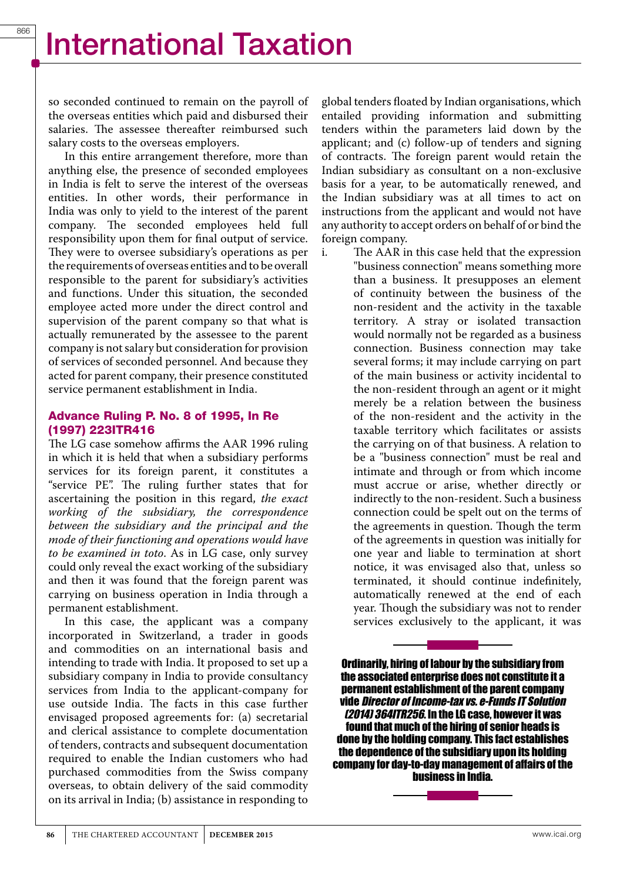so seconded continued to remain on the payroll of the overseas entities which paid and disbursed their salaries. The assessee thereafter reimbursed such salary costs to the overseas employers.

In this entire arrangement therefore, more than anything else, the presence of seconded employees in India is felt to serve the interest of the overseas entities. In other words, their performance in India was only to yield to the interest of the parent company. The seconded employees held full responsibility upon them for final output of service. They were to oversee subsidiary's operations as per the requirements of overseas entities and to be overall responsible to the parent for subsidiary's activities and functions. Under this situation, the seconded employee acted more under the direct control and supervision of the parent company so that what is actually remunerated by the assessee to the parent company is not salary but consideration for provision of services of seconded personnel. And because they acted for parent company, their presence constituted service permanent establishment in India.

#### Advance Ruling P. No. 8 of 1995, In Re (1997) 223ITR416

The LG case somehow affirms the AAR 1996 ruling in which it is held that when a subsidiary performs services for its foreign parent, it constitutes a "service PE". The ruling further states that for ascertaining the position in this regard, *the exact working of the subsidiary, the correspondence between the subsidiary and the principal and the mode of their functioning and operations would have to be examined in toto*. As in LG case, only survey could only reveal the exact working of the subsidiary and then it was found that the foreign parent was carrying on business operation in India through a permanent establishment.

In this case, the applicant was a company incorporated in Switzerland, a trader in goods and commodities on an international basis and intending to trade with India. It proposed to set up a subsidiary company in India to provide consultancy services from India to the applicant-company for use outside India. The facts in this case further envisaged proposed agreements for: (a) secretarial and clerical assistance to complete documentation of tenders, contracts and subsequent documentation required to enable the Indian customers who had purchased commodities from the Swiss company overseas, to obtain delivery of the said commodity on its arrival in India; (b) assistance in responding to

global tenders floated by Indian organisations, which entailed providing information and submitting tenders within the parameters laid down by the applicant; and (c) follow-up of tenders and signing of contracts. The foreign parent would retain the Indian subsidiary as consultant on a non-exclusive basis for a year, to be automatically renewed, and the Indian subsidiary was at all times to act on instructions from the applicant and would not have any authority to accept orders on behalf of or bind the foreign company.<br>i. The AAR in

The AAR in this case held that the expression "business connection" means something more than a business. It presupposes an element of continuity between the business of the non-resident and the activity in the taxable territory. A stray or isolated transaction would normally not be regarded as a business connection. Business connection may take several forms; it may include carrying on part of the main business or activity incidental to the non-resident through an agent or it might merely be a relation between the business of the non-resident and the activity in the taxable territory which facilitates or assists the carrying on of that business. A relation to be a "business connection" must be real and intimate and through or from which income must accrue or arise, whether directly or indirectly to the non-resident. Such a business connection could be spelt out on the terms of the agreements in question. Though the term of the agreements in question was initially for one year and liable to termination at short notice, it was envisaged also that, unless so terminated, it should continue indefinitely, automatically renewed at the end of each year. Though the subsidiary was not to render services exclusively to the applicant, it was

Ordinarily, hiring of labour by the subsidiary from the associated enterprise does not constitute it a permanent establishment of the parent company vide *Director of Income-tax vs. e-Funds IT Solution (2014) 364ITR256*. In the LG case, however it was found that much of the hiring of senior heads is done by the holding company. This fact establishes the dependence of the subsidiary upon its holding company for day-to-day management of affairs of the business in India.